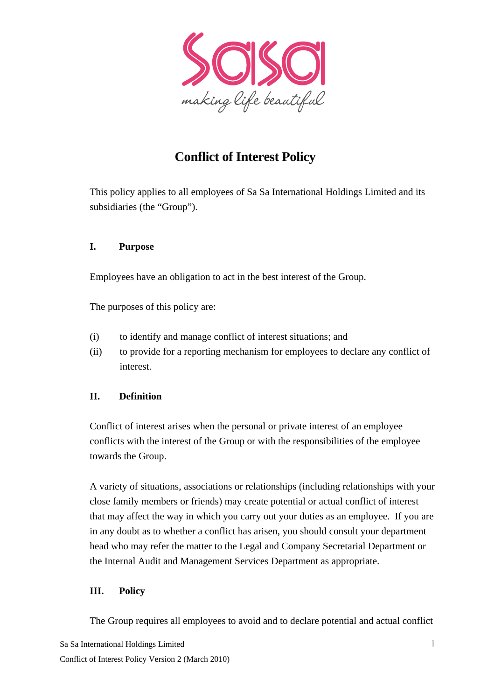

# **Conflict of Interest Policy**

This policy applies to all employees of Sa Sa International Holdings Limited and its subsidiaries (the "Group").

#### **I. Purpose**

Employees have an obligation to act in the best interest of the Group.

The purposes of this policy are:

- (i) to identify and manage conflict of interest situations; and
- (ii) to provide for a reporting mechanism for employees to declare any conflict of interest.

## **II. Definition**

Conflict of interest arises when the personal or private interest of an employee conflicts with the interest of the Group or with the responsibilities of the employee towards the Group.

A variety of situations, associations or relationships (including relationships with your close family members or friends) may create potential or actual conflict of interest that may affect the way in which you carry out your duties as an employee. If you are in any doubt as to whether a conflict has arisen, you should consult your department head who may refer the matter to the Legal and Company Secretarial Department or the Internal Audit and Management Services Department as appropriate.

#### **III. Policy**

The Group requires all employees to avoid and to declare potential and actual conflict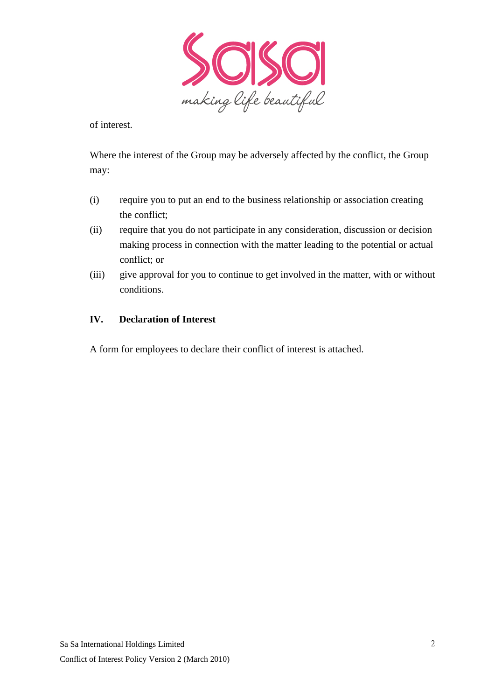

of interest.

Where the interest of the Group may be adversely affected by the conflict, the Group may:

- (i) require you to put an end to the business relationship or association creating the conflict;
- (ii) require that you do not participate in any consideration, discussion or decision making process in connection with the matter leading to the potential or actual conflict; or
- (iii) give approval for you to continue to get involved in the matter, with or without conditions.

#### **IV. Declaration of Interest**

A form for employees to declare their conflict of interest is attached.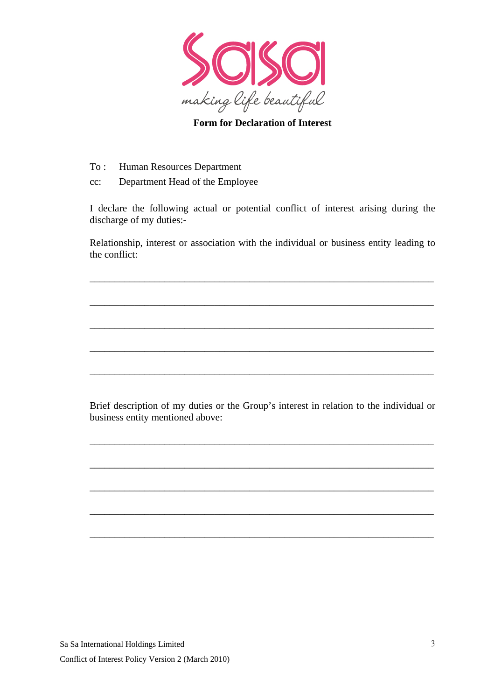

### **Form for Declaration of Interest**

- To : Human Resources Department
- cc: Department Head of the Employee

I declare the following actual or potential conflict of interest arising during the discharge of my duties:-

Relationship, interest or association with the individual or business entity leading to the conflict:

\_\_\_\_\_\_\_\_\_\_\_\_\_\_\_\_\_\_\_\_\_\_\_\_\_\_\_\_\_\_\_\_\_\_\_\_\_\_\_\_\_\_\_\_\_\_\_\_\_\_\_\_\_\_\_\_\_\_\_\_\_\_\_\_\_\_\_\_\_

\_\_\_\_\_\_\_\_\_\_\_\_\_\_\_\_\_\_\_\_\_\_\_\_\_\_\_\_\_\_\_\_\_\_\_\_\_\_\_\_\_\_\_\_\_\_\_\_\_\_\_\_\_\_\_\_\_\_\_\_\_\_\_\_\_\_\_\_\_

\_\_\_\_\_\_\_\_\_\_\_\_\_\_\_\_\_\_\_\_\_\_\_\_\_\_\_\_\_\_\_\_\_\_\_\_\_\_\_\_\_\_\_\_\_\_\_\_\_\_\_\_\_\_\_\_\_\_\_\_\_\_\_\_\_\_\_\_\_

\_\_\_\_\_\_\_\_\_\_\_\_\_\_\_\_\_\_\_\_\_\_\_\_\_\_\_\_\_\_\_\_\_\_\_\_\_\_\_\_\_\_\_\_\_\_\_\_\_\_\_\_\_\_\_\_\_\_\_\_\_\_\_\_\_\_\_\_\_

\_\_\_\_\_\_\_\_\_\_\_\_\_\_\_\_\_\_\_\_\_\_\_\_\_\_\_\_\_\_\_\_\_\_\_\_\_\_\_\_\_\_\_\_\_\_\_\_\_\_\_\_\_\_\_\_\_\_\_\_\_\_\_\_\_\_\_\_\_

Brief description of my duties or the Group's interest in relation to the individual or business entity mentioned above:

\_\_\_\_\_\_\_\_\_\_\_\_\_\_\_\_\_\_\_\_\_\_\_\_\_\_\_\_\_\_\_\_\_\_\_\_\_\_\_\_\_\_\_\_\_\_\_\_\_\_\_\_\_\_\_\_\_\_\_\_\_\_\_\_\_\_\_\_\_

\_\_\_\_\_\_\_\_\_\_\_\_\_\_\_\_\_\_\_\_\_\_\_\_\_\_\_\_\_\_\_\_\_\_\_\_\_\_\_\_\_\_\_\_\_\_\_\_\_\_\_\_\_\_\_\_\_\_\_\_\_\_\_\_\_\_\_\_\_

\_\_\_\_\_\_\_\_\_\_\_\_\_\_\_\_\_\_\_\_\_\_\_\_\_\_\_\_\_\_\_\_\_\_\_\_\_\_\_\_\_\_\_\_\_\_\_\_\_\_\_\_\_\_\_\_\_\_\_\_\_\_\_\_\_\_\_\_\_

\_\_\_\_\_\_\_\_\_\_\_\_\_\_\_\_\_\_\_\_\_\_\_\_\_\_\_\_\_\_\_\_\_\_\_\_\_\_\_\_\_\_\_\_\_\_\_\_\_\_\_\_\_\_\_\_\_\_\_\_\_\_\_\_\_\_\_\_\_

\_\_\_\_\_\_\_\_\_\_\_\_\_\_\_\_\_\_\_\_\_\_\_\_\_\_\_\_\_\_\_\_\_\_\_\_\_\_\_\_\_\_\_\_\_\_\_\_\_\_\_\_\_\_\_\_\_\_\_\_\_\_\_\_\_\_\_\_\_